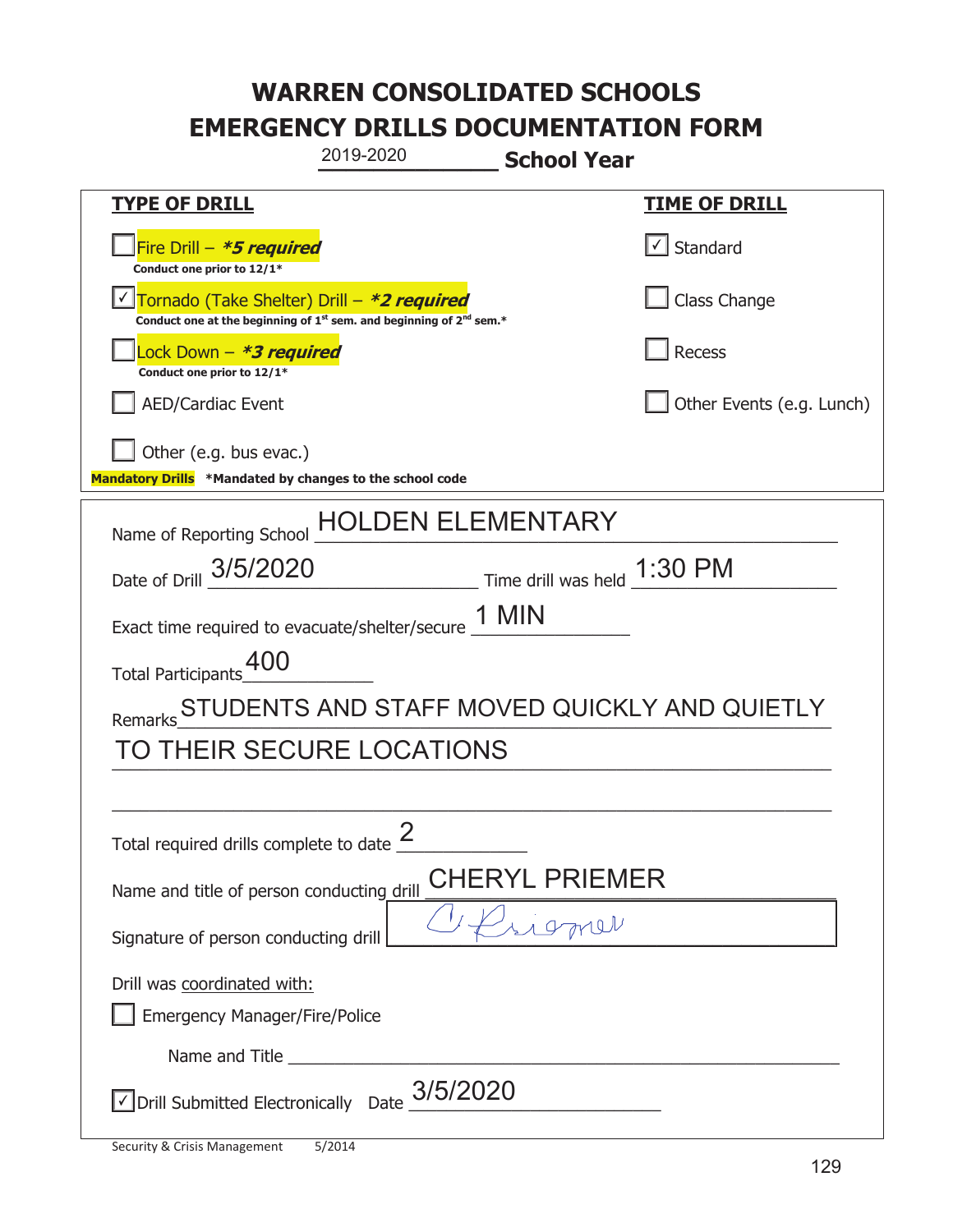|                                                                                                                                           | 2019-2020        | <b>School Year</b>          |                                              |
|-------------------------------------------------------------------------------------------------------------------------------------------|------------------|-----------------------------|----------------------------------------------|
| <u>TYPE OF DRILL</u>                                                                                                                      |                  |                             | <u>TIME OF DRILL</u>                         |
| Fire Drill - *5 required<br>Conduct one prior to 12/1*                                                                                    |                  |                             | √ Standard                                   |
| Tornado (Take Shelter) Drill – *2 required<br>Conduct one at the beginning of 1 <sup>st</sup> sem. and beginning of 2 <sup>nd</sup> sem.* |                  |                             | Class Change                                 |
| Lock Down - <b><i>*3 required</i></b><br>Conduct one prior to 12/1*                                                                       |                  |                             | <b>Recess</b>                                |
| <b>AED/Cardiac Event</b>                                                                                                                  |                  |                             | Other Events (e.g. Lunch)                    |
| Other (e.g. bus evac.)<br>Mandatory Drills *Mandated by changes to the school code                                                        |                  |                             |                                              |
| Name of Reporting School                                                                                                                  |                  | <b>DEN ELEMENTARY</b>       |                                              |
| Date of Drill 3/5/2020                                                                                                                    |                  | Time drill was held 1:30 PM |                                              |
| Exact time required to evacuate/shelter/secure 1 MIN                                                                                      |                  |                             |                                              |
| <b>Total Participants</b>                                                                                                                 |                  |                             |                                              |
| Remarks                                                                                                                                   |                  |                             | STUDENTS AND STAFF MOVED QUICKLY AND QUIETLY |
| TO THEIR SECURE LOCATIONS                                                                                                                 |                  |                             |                                              |
|                                                                                                                                           |                  |                             |                                              |
| Total required drills complete to date $\frac{2}{3}$                                                                                      |                  |                             |                                              |
| Name and title of person conducting drill                                                                                                 |                  | CHERYL PRIEMER              |                                              |
| Signature of person conducting drill                                                                                                      |                  |                             |                                              |
| Drill was coordinated with:<br><b>Emergency Manager/Fire/Police</b>                                                                       |                  |                             |                                              |
| Name and Title _________                                                                                                                  |                  |                             |                                              |
| √ Drill Submitted Electronically                                                                                                          | 3/5/2020<br>Date |                             |                                              |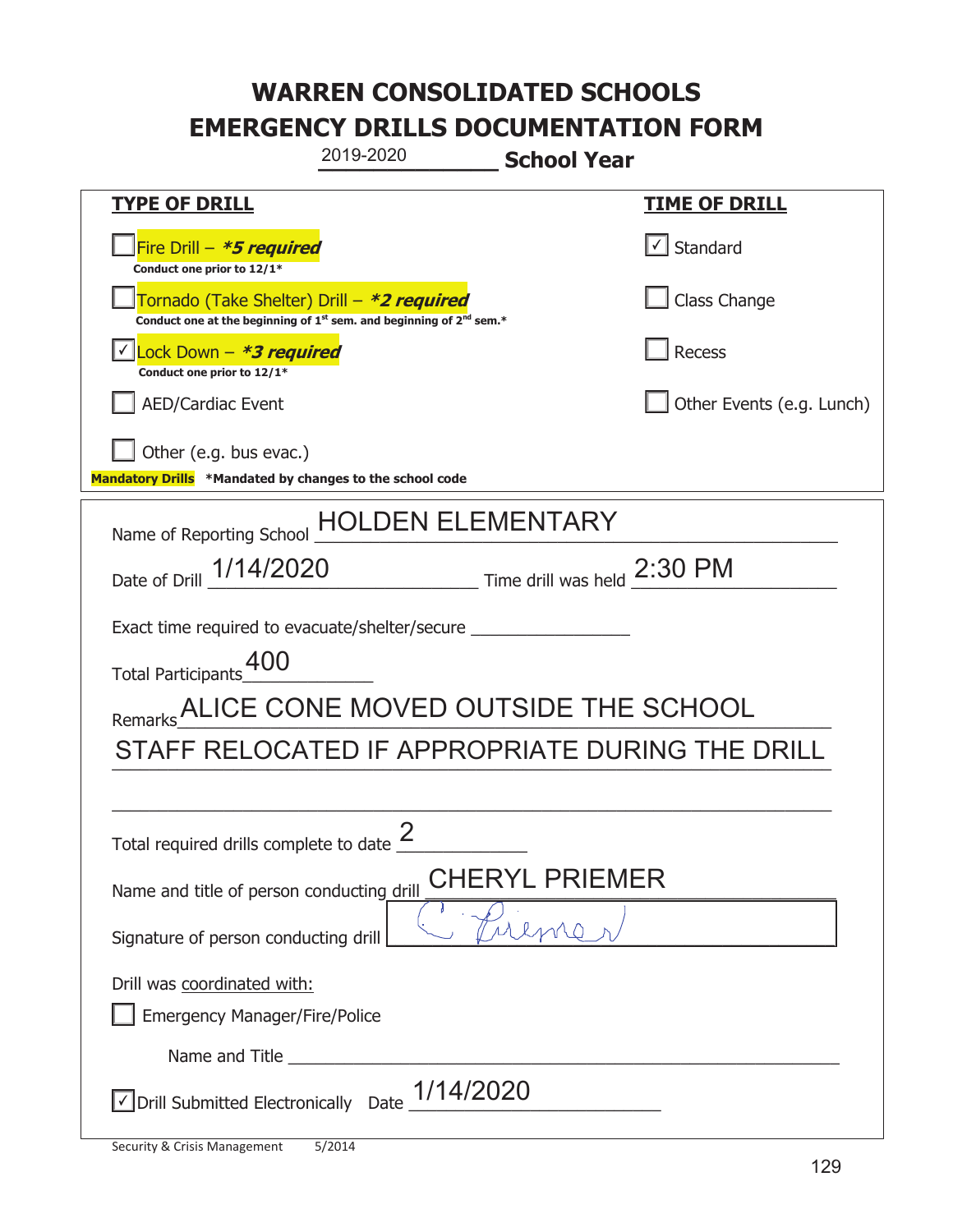|                                                                                    | 2019-2020                                                                     | <b>School Year</b>          |                                                 |
|------------------------------------------------------------------------------------|-------------------------------------------------------------------------------|-----------------------------|-------------------------------------------------|
| <b>TYPE OF DRILL</b>                                                               |                                                                               |                             | <b>TIME OF DRILL</b>                            |
| Fire Drill - *5 required<br>Conduct one prior to 12/1*                             |                                                                               |                             | $\cup$ Standard                                 |
| Tornado (Take Shelter) Drill – *2 required                                         | Conduct one at the beginning of $1^{st}$ sem. and beginning of $2^{nd}$ sem.* |                             | Class Change                                    |
| Lock Down - *3 required<br>Conduct one prior to 12/1*                              |                                                                               |                             | <b>Recess</b>                                   |
| <b>AED/Cardiac Event</b>                                                           |                                                                               |                             | Other Events (e.g. Lunch)                       |
| Other (e.g. bus evac.)<br>Mandatory Drills *Mandated by changes to the school code |                                                                               |                             |                                                 |
| Name of Reporting School                                                           |                                                                               | DEN ELEMENTARY              |                                                 |
| Date of Drill 1/14/2020                                                            |                                                                               | Time drill was held 2:30 PM |                                                 |
| Exact time required to evacuate/shelter/secure _________                           |                                                                               |                             |                                                 |
| Total Participants <sup>400</sup>                                                  |                                                                               |                             |                                                 |
| Remarks ALICE CONE MOVED OUTSIDE THE SCHOOL                                        |                                                                               |                             |                                                 |
|                                                                                    |                                                                               |                             | STAFF RELOCATED IF APPROPRIATE DURING THE DRILL |
|                                                                                    |                                                                               |                             |                                                 |
| Total required drills complete to date $\frac{2}{3}$                               |                                                                               |                             |                                                 |
| CHERYL PRIEMER<br>Name and title of person conducting drill                        |                                                                               |                             |                                                 |
| Signature of person conducting drill                                               |                                                                               |                             |                                                 |
| Drill was coordinated with:<br><b>Emergency Manager/Fire/Police</b>                |                                                                               |                             |                                                 |
|                                                                                    |                                                                               |                             |                                                 |
| √ Drill Submitted Electronically                                                   | 1/14/2020<br>Date                                                             |                             |                                                 |

t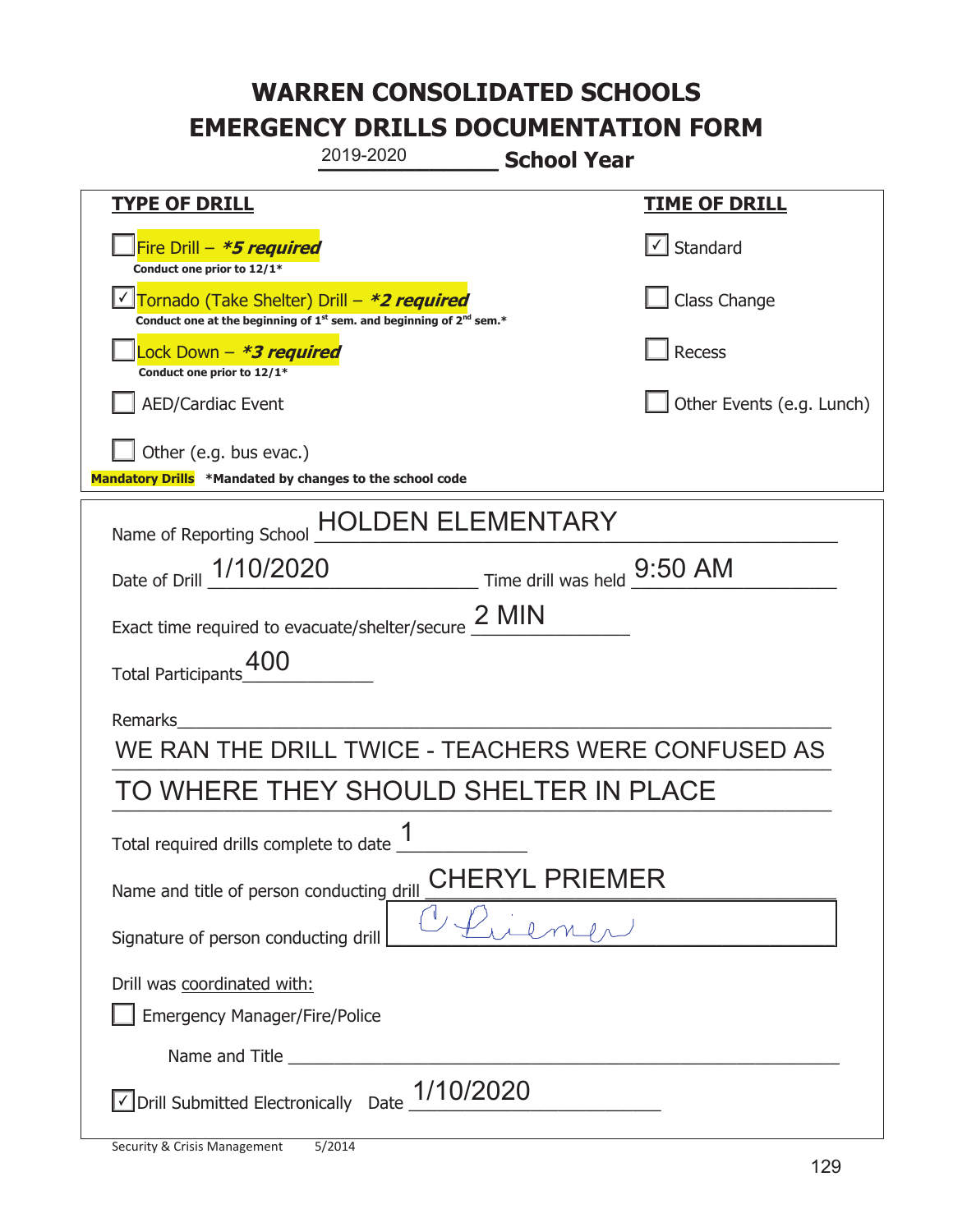| 2019-2020<br><b>School Year</b>                                                                                             |                                   |  |  |
|-----------------------------------------------------------------------------------------------------------------------------|-----------------------------------|--|--|
| <b>TYPE OF DRILL</b>                                                                                                        | <u>TIME OF DRILL</u>              |  |  |
| Fire Drill - *5 required<br>Conduct one prior to 12/1*                                                                      | $\lfloor \angle \rfloor$ Standard |  |  |
| Tornado (Take Shelter) Drill - *2 required<br>Conduct one at the beginning of $1^{st}$ sem. and beginning of $2^{nd}$ sem.* | Class Change                      |  |  |
| Lock Down – <b>*<i>3 required</i></b><br>Conduct one prior to 12/1*                                                         | Recess                            |  |  |
| <b>AED/Cardiac Event</b>                                                                                                    | Other Events (e.g. Lunch)         |  |  |
| Other (e.g. bus evac.)<br>Mandatory Drills *Mandated by changes to the school code                                          |                                   |  |  |
| <b>HOLDEN ELEMENTARY</b><br>Name of Reporting School                                                                        |                                   |  |  |
| Date of Drill 1/10/2020 Time drill was held 9:50 AM                                                                         |                                   |  |  |
| Exact time required to evacuate/shelter/secure 2 MIN                                                                        |                                   |  |  |
| Total Participants_400                                                                                                      |                                   |  |  |
| <b>Remarks</b>                                                                                                              |                                   |  |  |
| WE RAN THE DRILL TWICE - TEACHERS WERE CONFUSED AS                                                                          |                                   |  |  |
| TO WHERE THEY SHOULD SHELTER IN PLACE                                                                                       |                                   |  |  |
| 1<br>Total required drills complete to date _                                                                               |                                   |  |  |
| YL PRIEMER<br>Name and title of person conducting drill                                                                     |                                   |  |  |
| Signature of person conducting drill                                                                                        |                                   |  |  |
| Drill was coordinated with:<br><b>Emergency Manager/Fire/Police</b>                                                         |                                   |  |  |
|                                                                                                                             |                                   |  |  |
| $\vee$ Drill Submitted Electronically Date $\underline{\hspace{1em}1/1}0/2020$                                              |                                   |  |  |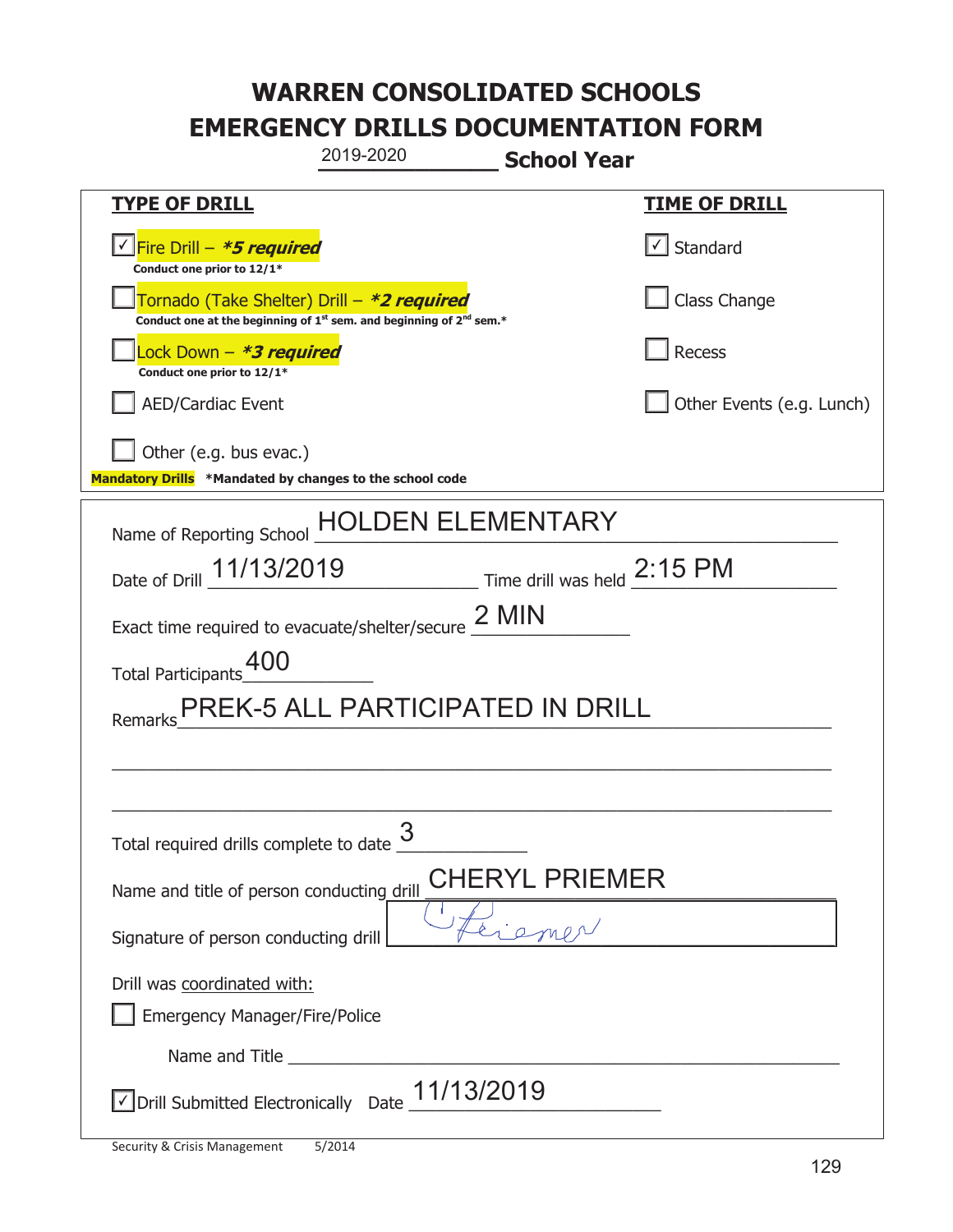|                                                                                    | 2019-2020                                                                                                                                 | <b>School Year</b>                                  |                           |
|------------------------------------------------------------------------------------|-------------------------------------------------------------------------------------------------------------------------------------------|-----------------------------------------------------|---------------------------|
| <b>TYPE OF DRILL</b>                                                               |                                                                                                                                           |                                                     | <b>TIME OF DRILL</b>      |
| Fire Drill - *5 required<br>Conduct one prior to 12/1*                             |                                                                                                                                           |                                                     | Standard                  |
|                                                                                    | Tornado (Take Shelter) Drill – *2 required<br>Conduct one at the beginning of 1 <sup>st</sup> sem. and beginning of 2 <sup>nd</sup> sem.* |                                                     | Class Change              |
| ock Down - <b>*3 required</b><br>Conduct one prior to 12/1*                        |                                                                                                                                           |                                                     | Recess                    |
| <b>AED/Cardiac Event</b>                                                           |                                                                                                                                           |                                                     | Other Events (e.g. Lunch) |
| Other (e.g. bus evac.)<br>Mandatory Drills *Mandated by changes to the school code |                                                                                                                                           |                                                     |                           |
| Name of Reporting School                                                           |                                                                                                                                           | <b>\ ELEMENTARY</b>                                 |                           |
| Date of Drill 11/13/2019                                                           |                                                                                                                                           | $\_$ Time drill was held $\frac{2:15 \text{ PM}}{}$ |                           |
|                                                                                    | Exact time required to evacuate/shelter/secure $2$ MIN                                                                                    |                                                     |                           |
| <b>Total Participants</b>                                                          |                                                                                                                                           |                                                     |                           |
| Remarks                                                                            | PREK-5 ALL PARTICIPATED IN DRILL                                                                                                          |                                                     |                           |
|                                                                                    |                                                                                                                                           |                                                     |                           |
|                                                                                    |                                                                                                                                           |                                                     |                           |
| Total required drills complete to date $\frac{6}{5}$                               | 3                                                                                                                                         |                                                     |                           |
| Name and title of person conducting drill                                          |                                                                                                                                           | CHERYL PRIEMER                                      |                           |
| Signature of person conducting drill                                               |                                                                                                                                           |                                                     |                           |
| Drill was coordinated with:<br><b>Emergency Manager/Fire/Police</b>                |                                                                                                                                           |                                                     |                           |
|                                                                                    |                                                                                                                                           |                                                     |                           |
|                                                                                    | $\vee$ Drill Submitted Electronically Date $\_11/13/2019$                                                                                 |                                                     |                           |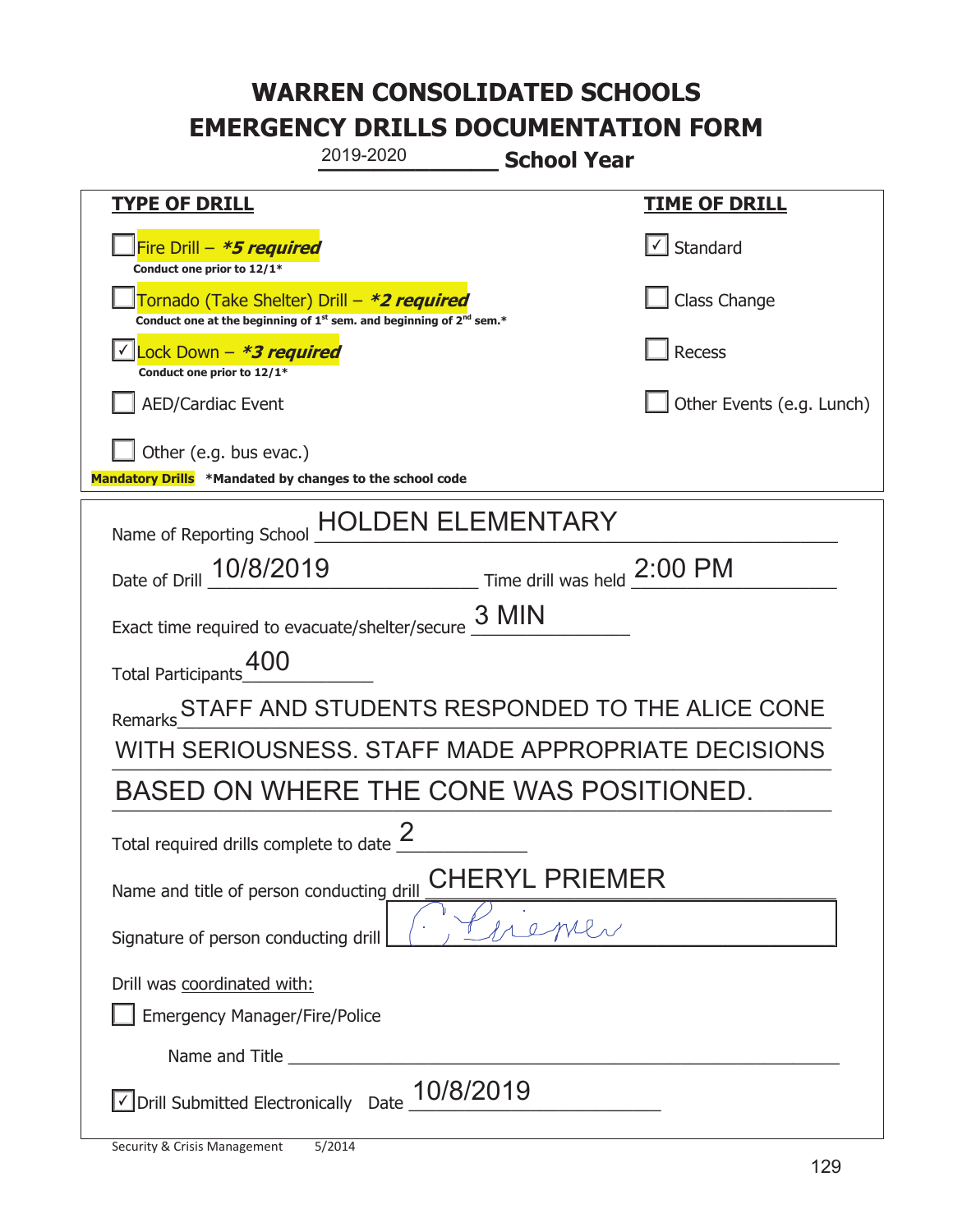| 2019-2020                                                                                                                                 | <b>School Year</b>                                            |  |
|-------------------------------------------------------------------------------------------------------------------------------------------|---------------------------------------------------------------|--|
| <u>TYPE OF DRILL</u>                                                                                                                      | <b>TIME OF DRILL</b>                                          |  |
| Fire Drill - *5 required<br>Conduct one prior to 12/1*                                                                                    | $\lfloor \angle \rfloor$ Standard                             |  |
| Tornado (Take Shelter) Drill – *2 required<br>Conduct one at the beginning of 1 <sup>st</sup> sem. and beginning of 2 <sup>nd</sup> sem.* | Class Change                                                  |  |
| Lock Down - *3 required<br>Conduct one prior to 12/1*                                                                                     | <b>Recess</b>                                                 |  |
| <b>AED/Cardiac Event</b>                                                                                                                  | Other Events (e.g. Lunch)                                     |  |
| Other (e.g. bus evac.)<br>Mandatory Drills *Mandated by changes to the school code                                                        |                                                               |  |
| Name of Reporting School                                                                                                                  | DEN ELEMENTARY.                                               |  |
| Date of Drill 10/8/2019                                                                                                                   | $\frac{1}{2}$ Time drill was held $\frac{2:00 \text{ PM}}{4}$ |  |
| Exact time required to evacuate/shelter/secure                                                                                            | 3 MIN                                                         |  |
| Total Participants_400                                                                                                                    |                                                               |  |
| Remarks                                                                                                                                   | STAFF AND STUDENTS RESPONDED TO THE ALICE CONE                |  |
|                                                                                                                                           | WITH SERIOUSNESS. STAFF MADE APPROPRIATE DECISIONS            |  |
| BASED ON WHERE THE CONE WAS POSITIONED.                                                                                                   |                                                               |  |
| Total required drills complete to date $\frac{2}{3}$                                                                                      |                                                               |  |
| CHERYL PRIEMER<br>Name and title of person conducting drill                                                                               |                                                               |  |
| Signature of person conducting drill                                                                                                      |                                                               |  |
| Drill was coordinated with:<br><b>Emergency Manager/Fire/Police</b>                                                                       |                                                               |  |
|                                                                                                                                           |                                                               |  |
| √ Drill Submitted Electronically<br>Date                                                                                                  | 10/8/2019                                                     |  |

t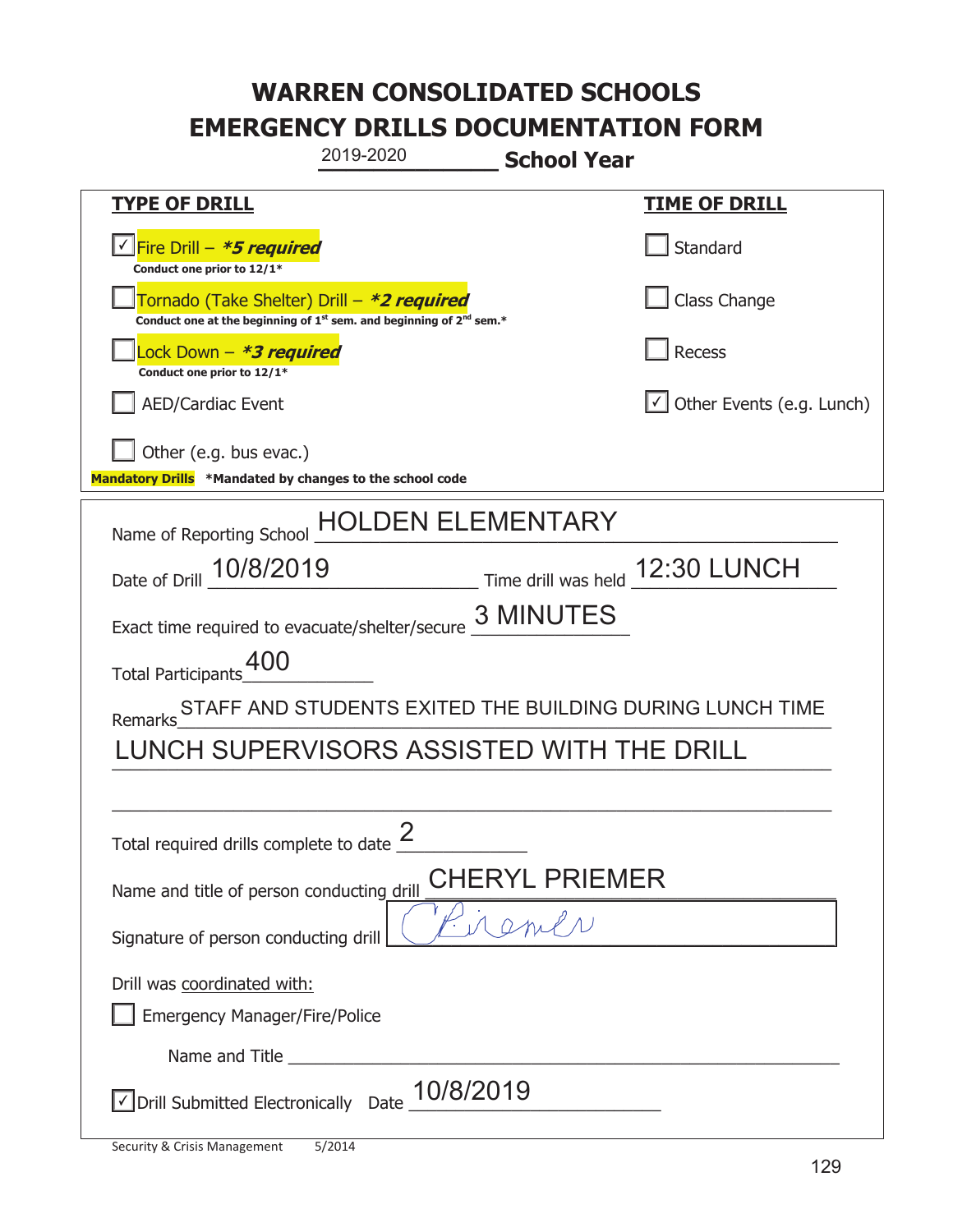| 2019-2020                                                                                                                                 | <b>School Year</b>                                       |                                  |
|-------------------------------------------------------------------------------------------------------------------------------------------|----------------------------------------------------------|----------------------------------|
| <b>TYPE OF DRILL</b>                                                                                                                      |                                                          | <u>TIME OF DRILL</u>             |
| <u>√ Fire Drill – *5 required</u><br>Conduct one prior to 12/1*                                                                           |                                                          | Standard                         |
| Tornado (Take Shelter) Drill – *2 required<br>Conduct one at the beginning of 1 <sup>st</sup> sem. and beginning of 2 <sup>nd</sup> sem.* |                                                          | Class Change                     |
| ock Down - <b>*3 required</b><br>Conduct one prior to 12/1*                                                                               |                                                          | <b>Recess</b>                    |
| <b>AED/Cardiac Event</b>                                                                                                                  |                                                          | $\cup$ Other Events (e.g. Lunch) |
| Other (e.g. bus evac.)<br>Mandatory Drills *Mandated by changes to the school code                                                        |                                                          |                                  |
| Name of Reporting School                                                                                                                  | DEN ELEMENTARY                                           |                                  |
| Date of Drill 10/8/2019                                                                                                                   | Time drill was held 12:30 LUNCH                          |                                  |
| Exact time required to evacuate/shelter/secure 3 MINUTES                                                                                  |                                                          |                                  |
| Total Participants_00                                                                                                                     |                                                          |                                  |
| Remarks                                                                                                                                   | STAFF AND STUDENTS EXITED THE BUILDING DURING LUNCH TIME |                                  |
|                                                                                                                                           | LUNCH SUPERVISORS ASSISTED WITH THE DRILL                |                                  |
|                                                                                                                                           |                                                          |                                  |
| Total required drills complete to date $\frac{2}{3}$                                                                                      |                                                          |                                  |
| CHERYL PRIEMER<br>Name and title of person conducting drill                                                                               |                                                          |                                  |
| Signature of person conducting drill                                                                                                      | $M_{1}$                                                  |                                  |
| Drill was coordinated with:<br><b>Emergency Manager/Fire/Police</b>                                                                       |                                                          |                                  |
|                                                                                                                                           |                                                          |                                  |
| $\sqrt{}$ Drill Submitted Electronically Date                                                                                             | 10/8/2019                                                |                                  |

t